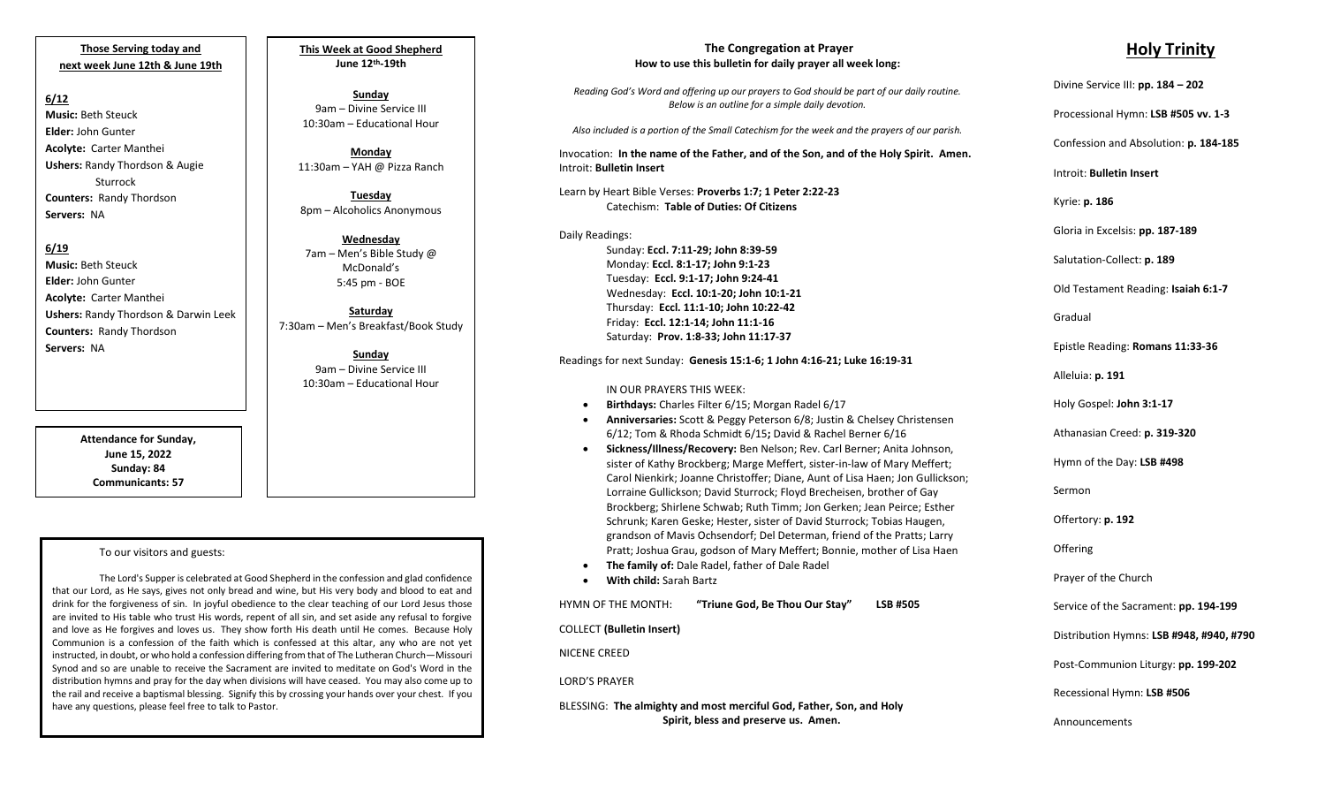**Those Serving today and next week June 12th & June 19th**

### **6/12**

**Music:** Beth Steuck **Elder:** John Gunter **Acolyte:** Carter Manthei **Ushers:** Randy Thordson & Augie Sturrock **Counters:** Randy Thordson **Servers:** NA

## **6/19**

**Music:** Beth Steuck **Elder:** John Gunter **Acolyte:** Carter Manthei **Ushers:** Randy Thordson & Darwin Leek **Counters:** Randy Thordson **Servers:** NA

> **Attendance for Sunday, June 15, 2022 Sunday: 84 Communicants: 57**

#### To our visitors and guests:

The Lord's Supper is celebrated at Good Shepherd in the confession and glad confidence that our Lord, as He says, gives not only bread and wine, but His very body and blood to eat and drink for the forgiveness of sin. In joyful obedience to the clear teaching of our Lord Jesus those are invited to His table who trust His words, repent of all sin, and set aside any refusal to forgive and love as He forgives and loves us. They show forth His death until He comes. Because Holy Communion is a confession of the faith which is confessed at this altar, any who are not yet instructed, in doubt, or who hold a confession differing from that of The Lutheran Church—Missouri Synod and so are unable to receive the Sacrament are invited to meditate on God's Word in the distribution hymns and pray for the day when divisions will have ceased. You may also come up to the rail and receive a baptismal blessing. Signify this by crossing your hands over your chest. If you have any questions, please feel free to talk to Pastor.

**This Week at Good Shepherd June 12th-19th**

**Sunday**  9am – Divine Service III 10:30am – Educational Hour

**Monday** 11:30am – YAH @ Pizza Ranch

**Tuesday** 8pm – Alcoholics Anonymous

**Wednesday** 7am – Men's Bible Study @ McDonald's 5:45 pm - BOE

**Saturday** 7:30am – Men's Breakfast/Book Study

> **Sunday**  9am – Divine Service III 10:30am – Educational Hour

#### **The Congregation at Prayer How to use this bulletin for daily prayer all week long:**

*Reading God's Word and offering up our prayers to God should be part of our daily routine. Below is an outline for a simple daily devotion.*

*Also included is a portion of the Small Catechism for the week and the prayers of our parish.*

Invocation: **In the name of the Father, and of the Son, and of the Holy Spirit. Amen.** Introit: **Bulletin Insert**

Learn by Heart Bible Verses: **Proverbs 1:7; 1 Peter 2:22-23** Catechism: **Table of Duties: Of Citizens**

Daily Readings: Sunday: **Eccl. 7:11-29; John 8:39-59** Monday: **Eccl. 8:1-17; John 9:1-23** Tuesday: **Eccl. 9:1-17; John 9:24-41** Wednesday: **Eccl. 10:1-20; John 10:1-21** Thursday: **Eccl. 11:1-10; John 10:22-42** Friday: **Eccl. 12:1-14; John 11:1-16** Saturday: **Prov. 1:8-33; John 11:17-37**

Readings for next Sunday: **Genesis 15:1-6; 1 John 4:16-21; Luke 16:19-31**

#### IN OUR PRAYERS THIS WEEK:

- **Birthdays:** Charles Filter 6/15; Morgan Radel 6/17
- **Anniversaries:** Scott & Peggy Peterson 6/8; Justin & Chelsey Christensen 6/12; Tom & Rhoda Schmidt 6/15**;** David & Rachel Berner 6/16
- **Sickness/Illness/Recovery:** Ben Nelson; Rev. Carl Berner; Anita Johnson, sister of Kathy Brockberg; Marge Meffert, sister-in-law of Mary Meffert; Carol Nienkirk; Joanne Christoffer; Diane, Aunt of Lisa Haen; Jon Gullickson; Lorraine Gullickson; David Sturrock; Floyd Brecheisen, brother of Gay Brockberg; Shirlene Schwab; Ruth Timm; Jon Gerken; Jean Peirce; Esther Schrunk; Karen Geske; Hester, sister of David Sturrock; Tobias Haugen, grandson of Mavis Ochsendorf; Del Determan, friend of the Pratts; Larry Pratt; Joshua Grau, godson of Mary Meffert; Bonnie, mother of Lisa Haen
- **The family of:** Dale Radel, father of Dale Radel
- **With child:** Sarah Bartz

HYMN OF THE MONTH: **"Triune God, Be Thou Our Stay" LSB #505** COLLECT **(Bulletin Insert)** NICENE CREED LORD'S PRAYER BLESSING: **The almighty and most merciful God, Father, Son, and Holy Spirit, bless and preserve us. Amen.**

# **Holy Trinity**

| Divine Service III: pp. 184 - 202        |
|------------------------------------------|
| Processional Hymn: LSB #505 vv. 1-3      |
| Confession and Absolution: p. 184-185    |
| Introit: Bulletin Insert                 |
| Kyrie: p. 186                            |
| Gloria in Excelsis: pp. 187-189          |
| Salutation-Collect: p. 189               |
| Old Testament Reading: Isaiah 6:1-7      |
| Gradual                                  |
| Epistle Reading: Romans 11:33-36         |
| Alleluia: p. 191                         |
| Holy Gospel: John 3:1-17                 |
| Athanasian Creed: p. 319-320             |
| Hymn of the Day: LSB #498                |
| Sermon                                   |
| Offertory: p. 192                        |
| Offering                                 |
| Prayer of the Church                     |
| Service of the Sacrament: pp. 194-199    |
| Distribution Hymns: LSB #948, #940, #790 |
| Post-Communion Liturgy: pp. 199-202      |
| Recessional Hymn: LSB #506               |
| Announcements                            |